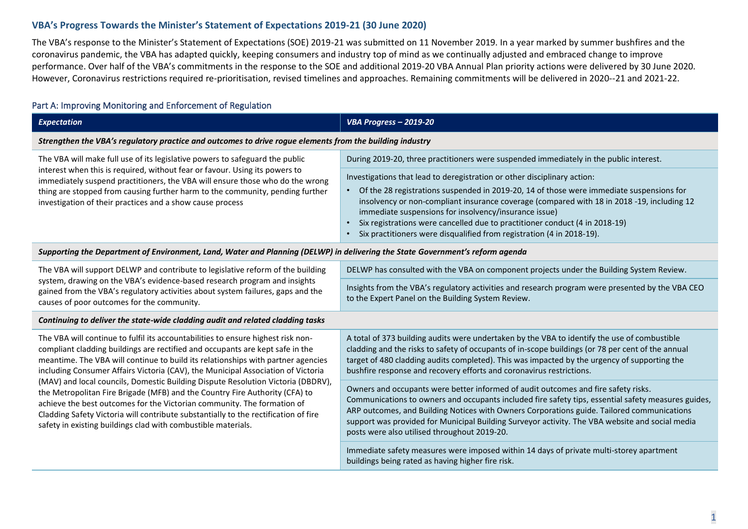### **VBA's Progress Towards the Minister's Statement of Expectations 2019-21 (30 June 2020)**

The VBA's response to the Minister's Statement of Expectations (SOE) 2019-21 was submitted on 11 November 2019. In a year marked by summer bushfires and the coronavirus pandemic, the VBA has adapted quickly, keeping consumers and industry top of mind as we continually adjusted and embraced change to improve performance. Over half of the VBA's commitments in the response to the SOE and additional 2019-20 VBA Annual Plan priority actions were delivered by 30 June 2020. However, Coronavirus restrictions required re-prioritisation, revised timelines and approaches. Remaining commitments will be delivered in 2020--21 and 2021-22.

### Part A: Improving Monitoring and Enforcement of Regulation

| <b>Expectation</b>                                                                                                                                                                                                                                                                                                                                                                                                                                                                                                                                                                                                                                                                                                                              | VBA Progress - 2019-20                                                                                                                                                                                                                                                                                                                                                                                                                                                                                                                                                          |  |
|-------------------------------------------------------------------------------------------------------------------------------------------------------------------------------------------------------------------------------------------------------------------------------------------------------------------------------------------------------------------------------------------------------------------------------------------------------------------------------------------------------------------------------------------------------------------------------------------------------------------------------------------------------------------------------------------------------------------------------------------------|---------------------------------------------------------------------------------------------------------------------------------------------------------------------------------------------------------------------------------------------------------------------------------------------------------------------------------------------------------------------------------------------------------------------------------------------------------------------------------------------------------------------------------------------------------------------------------|--|
| Strengthen the VBA's regulatory practice and outcomes to drive rogue elements from the building industry                                                                                                                                                                                                                                                                                                                                                                                                                                                                                                                                                                                                                                        |                                                                                                                                                                                                                                                                                                                                                                                                                                                                                                                                                                                 |  |
| The VBA will make full use of its legislative powers to safeguard the public<br>interest when this is required, without fear or favour. Using its powers to<br>immediately suspend practitioners, the VBA will ensure those who do the wrong<br>thing are stopped from causing further harm to the community, pending further<br>investigation of their practices and a show cause process                                                                                                                                                                                                                                                                                                                                                      | During 2019-20, three practitioners were suspended immediately in the public interest.<br>Investigations that lead to deregistration or other disciplinary action:<br>• Of the 28 registrations suspended in 2019-20, 14 of those were immediate suspensions for<br>insolvency or non-compliant insurance coverage (compared with 18 in 2018 -19, including 12<br>immediate suspensions for insolvency/insurance issue)<br>Six registrations were cancelled due to practitioner conduct (4 in 2018-19)<br>Six practitioners were disqualified from registration (4 in 2018-19). |  |
| Supporting the Department of Environment, Land, Water and Planning (DELWP) in delivering the State Government's reform agenda                                                                                                                                                                                                                                                                                                                                                                                                                                                                                                                                                                                                                   |                                                                                                                                                                                                                                                                                                                                                                                                                                                                                                                                                                                 |  |
| The VBA will support DELWP and contribute to legislative reform of the building<br>system, drawing on the VBA's evidence-based research program and insights<br>gained from the VBA's regulatory activities about system failures, gaps and the<br>causes of poor outcomes for the community.                                                                                                                                                                                                                                                                                                                                                                                                                                                   | DELWP has consulted with the VBA on component projects under the Building System Review.<br>Insights from the VBA's regulatory activities and research program were presented by the VBA CEO<br>to the Expert Panel on the Building System Review.                                                                                                                                                                                                                                                                                                                              |  |
| Continuing to deliver the state-wide cladding audit and related cladding tasks                                                                                                                                                                                                                                                                                                                                                                                                                                                                                                                                                                                                                                                                  |                                                                                                                                                                                                                                                                                                                                                                                                                                                                                                                                                                                 |  |
| The VBA will continue to fulfil its accountabilities to ensure highest risk non-<br>compliant cladding buildings are rectified and occupants are kept safe in the<br>meantime. The VBA will continue to build its relationships with partner agencies<br>including Consumer Affairs Victoria (CAV), the Municipal Association of Victoria<br>(MAV) and local councils, Domestic Building Dispute Resolution Victoria (DBDRV),<br>the Metropolitan Fire Brigade (MFB) and the Country Fire Authority (CFA) to<br>achieve the best outcomes for the Victorian community. The formation of<br>Cladding Safety Victoria will contribute substantially to the rectification of fire<br>safety in existing buildings clad with combustible materials. | A total of 373 building audits were undertaken by the VBA to identify the use of combustible<br>cladding and the risks to safety of occupants of in-scope buildings (or 78 per cent of the annual<br>target of 480 cladding audits completed). This was impacted by the urgency of supporting the<br>bushfire response and recovery efforts and coronavirus restrictions.                                                                                                                                                                                                       |  |
|                                                                                                                                                                                                                                                                                                                                                                                                                                                                                                                                                                                                                                                                                                                                                 | Owners and occupants were better informed of audit outcomes and fire safety risks.<br>Communications to owners and occupants included fire safety tips, essential safety measures guides,<br>ARP outcomes, and Building Notices with Owners Corporations guide. Tailored communications<br>support was provided for Municipal Building Surveyor activity. The VBA website and social media<br>posts were also utilised throughout 2019-20.                                                                                                                                      |  |
|                                                                                                                                                                                                                                                                                                                                                                                                                                                                                                                                                                                                                                                                                                                                                 | Immediate safety measures were imposed within 14 days of private multi-storey apartment<br>buildings being rated as having higher fire risk.                                                                                                                                                                                                                                                                                                                                                                                                                                    |  |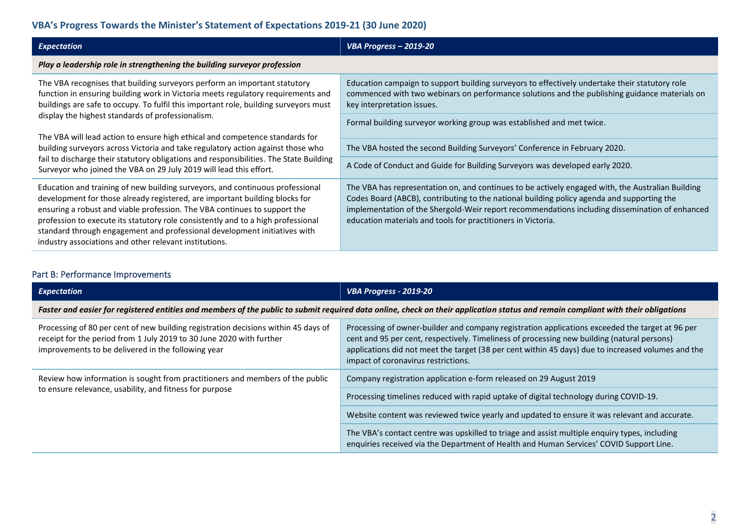# **VBA's Progress Towards the Minister's Statement of Expectations 2019-21 (30 June 2020)**

| <b>Expectation</b>                                                                                                                                                                                                                                                                                                                                                                                                                                                   | VBA Progress - 2019-20                                                                                                                                                                                                                                                                                                                                            |
|----------------------------------------------------------------------------------------------------------------------------------------------------------------------------------------------------------------------------------------------------------------------------------------------------------------------------------------------------------------------------------------------------------------------------------------------------------------------|-------------------------------------------------------------------------------------------------------------------------------------------------------------------------------------------------------------------------------------------------------------------------------------------------------------------------------------------------------------------|
| Play a leadership role in strengthening the building surveyor profession                                                                                                                                                                                                                                                                                                                                                                                             |                                                                                                                                                                                                                                                                                                                                                                   |
| The VBA recognises that building surveyors perform an important statutory<br>function in ensuring building work in Victoria meets regulatory requirements and<br>buildings are safe to occupy. To fulfil this important role, building surveyors must<br>display the highest standards of professionalism.                                                                                                                                                           | Education campaign to support building surveyors to effectively undertake their statutory role<br>commenced with two webinars on performance solutions and the publishing guidance materials on<br>key interpretation issues.                                                                                                                                     |
|                                                                                                                                                                                                                                                                                                                                                                                                                                                                      | Formal building surveyor working group was established and met twice.                                                                                                                                                                                                                                                                                             |
| The VBA will lead action to ensure high ethical and competence standards for<br>building surveyors across Victoria and take regulatory action against those who<br>fail to discharge their statutory obligations and responsibilities. The State Building<br>Surveyor who joined the VBA on 29 July 2019 will lead this effort.                                                                                                                                      | The VBA hosted the second Building Surveyors' Conference in February 2020.                                                                                                                                                                                                                                                                                        |
|                                                                                                                                                                                                                                                                                                                                                                                                                                                                      |                                                                                                                                                                                                                                                                                                                                                                   |
|                                                                                                                                                                                                                                                                                                                                                                                                                                                                      | A Code of Conduct and Guide for Building Surveyors was developed early 2020.                                                                                                                                                                                                                                                                                      |
| Education and training of new building surveyors, and continuous professional<br>development for those already registered, are important building blocks for<br>ensuring a robust and viable profession. The VBA continues to support the<br>profession to execute its statutory role consistently and to a high professional<br>standard through engagement and professional development initiatives with<br>industry associations and other relevant institutions. | The VBA has representation on, and continues to be actively engaged with, the Australian Building<br>Codes Board (ABCB), contributing to the national building policy agenda and supporting the<br>implementation of the Shergold-Weir report recommendations including dissemination of enhanced<br>education materials and tools for practitioners in Victoria. |

# Part B: Performance Improvements

| <b>Expectation</b>                                                                                                                                                                                               | <b>VBA Progress - 2019-20</b>                                                                                                                                                                                                                                                                                                               |  |
|------------------------------------------------------------------------------------------------------------------------------------------------------------------------------------------------------------------|---------------------------------------------------------------------------------------------------------------------------------------------------------------------------------------------------------------------------------------------------------------------------------------------------------------------------------------------|--|
| Faster and easier for registered entities and members of the public to submit required data online, check on their application status and remain compliant with their obligations                                |                                                                                                                                                                                                                                                                                                                                             |  |
| Processing of 80 per cent of new building registration decisions within 45 days of<br>receipt for the period from 1 July 2019 to 30 June 2020 with further<br>improvements to be delivered in the following year | Processing of owner-builder and company registration applications exceeded the target at 96 per<br>cent and 95 per cent, respectively. Timeliness of processing new building (natural persons)<br>applications did not meet the target (38 per cent within 45 days) due to increased volumes and the<br>impact of coronavirus restrictions. |  |
| Review how information is sought from practitioners and members of the public<br>to ensure relevance, usability, and fitness for purpose                                                                         | Company registration application e-form released on 29 August 2019                                                                                                                                                                                                                                                                          |  |
|                                                                                                                                                                                                                  | Processing timelines reduced with rapid uptake of digital technology during COVID-19.                                                                                                                                                                                                                                                       |  |
|                                                                                                                                                                                                                  | Website content was reviewed twice yearly and updated to ensure it was relevant and accurate.                                                                                                                                                                                                                                               |  |
|                                                                                                                                                                                                                  | The VBA's contact centre was upskilled to triage and assist multiple enquiry types, including<br>enquiries received via the Department of Health and Human Services' COVID Support Line.                                                                                                                                                    |  |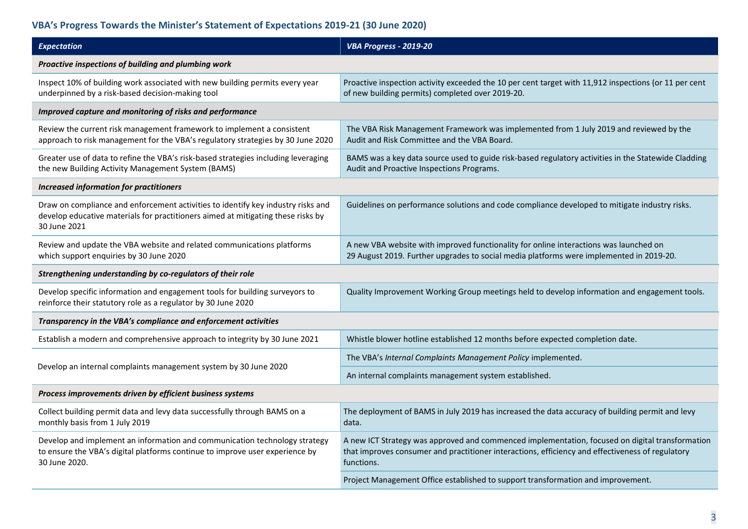# **VBA's Progress Towards the Minister's Statement of Expectations 2019-21 (30 June 2020)**

| <b>Expectation</b>                                                                                                                                                                   | VBA Progress - 2019-20                                                                                                                                                                                            |  |
|--------------------------------------------------------------------------------------------------------------------------------------------------------------------------------------|-------------------------------------------------------------------------------------------------------------------------------------------------------------------------------------------------------------------|--|
| Proactive inspections of building and plumbing work                                                                                                                                  |                                                                                                                                                                                                                   |  |
| Inspect 10% of building work associated with new building permits every year<br>underpinned by a risk-based decision-making tool                                                     | Proactive inspection activity exceeded the 10 per cent target with 11,912 inspections (or 11 per cent<br>of new building permits) completed over 2019-20.                                                         |  |
| Improved capture and monitoring of risks and performance                                                                                                                             |                                                                                                                                                                                                                   |  |
| Review the current risk management framework to implement a consistent<br>approach to risk management for the VBA's regulatory strategies by 30 June 2020                            | The VBA Risk Management Framework was implemented from 1 July 2019 and reviewed by the<br>Audit and Risk Committee and the VBA Board.                                                                             |  |
| Greater use of data to refine the VBA's risk-based strategies including leveraging<br>the new Building Activity Management System (BAMS)                                             | BAMS was a key data source used to guide risk-based regulatory activities in the Statewide Cladding<br>Audit and Proactive Inspections Programs.                                                                  |  |
| <b>Increased information for practitioners</b>                                                                                                                                       |                                                                                                                                                                                                                   |  |
| Draw on compliance and enforcement activities to identify key industry risks and<br>develop educative materials for practitioners aimed at mitigating these risks by<br>30 June 2021 | Guidelines on performance solutions and code compliance developed to mitigate industry risks.                                                                                                                     |  |
| Review and update the VBA website and related communications platforms<br>which support enquiries by 30 June 2020                                                                    | A new VBA website with improved functionality for online interactions was launched on<br>29 August 2019. Further upgrades to social media platforms were implemented in 2019-20.                                  |  |
| Strengthening understanding by co-regulators of their role                                                                                                                           |                                                                                                                                                                                                                   |  |
| Develop specific information and engagement tools for building surveyors to<br>reinforce their statutory role as a regulator by 30 June 2020                                         | Quality Improvement Working Group meetings held to develop information and engagement tools.                                                                                                                      |  |
| Transparency in the VBA's compliance and enforcement activities                                                                                                                      |                                                                                                                                                                                                                   |  |
| Establish a modern and comprehensive approach to integrity by 30 June 2021                                                                                                           | Whistle blower hotline established 12 months before expected completion date.                                                                                                                                     |  |
| Develop an internal complaints management system by 30 June 2020                                                                                                                     | The VBA's Internal Complaints Management Policy implemented.                                                                                                                                                      |  |
|                                                                                                                                                                                      | An internal complaints management system established.                                                                                                                                                             |  |
| Process improvements driven by efficient business systems                                                                                                                            |                                                                                                                                                                                                                   |  |
| Collect building permit data and levy data successfully through BAMS on a<br>monthly basis from 1 July 2019                                                                          | The deployment of BAMS in July 2019 has increased the data accuracy of building permit and levy<br>data.                                                                                                          |  |
| Develop and implement an information and communication technology strategy<br>to ensure the VBA's digital platforms continue to improve user experience by<br>30 June 2020.          | A new ICT Strategy was approved and commenced implementation, focused on digital transformation<br>that improves consumer and practitioner interactions, efficiency and effectiveness of regulatory<br>functions. |  |
|                                                                                                                                                                                      | Project Management Office established to support transformation and improvement.                                                                                                                                  |  |